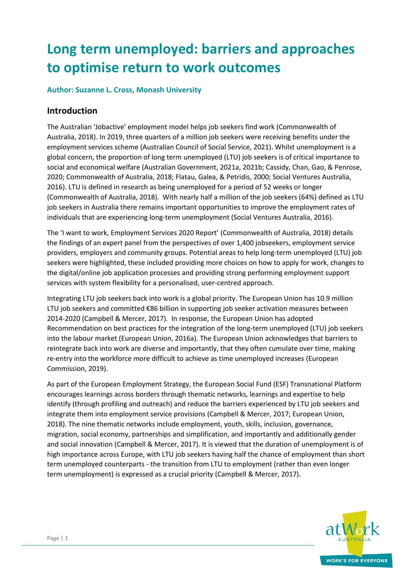# **Long term unemployed: barriers and approaches to optimise return to work outcomes**

#### **Author: Suzanne L. Cross, Monash University**

### **Introduction**

The Australian 'Jobactive' employment model helps job seekers find work (Commonwealth of Australia, 2018). In 2019, three quarters of a million job seekers were receiving benefits under the employment services scheme (Australian Council of Social Service, 2021). Whilst unemployment is a global concern, the proportion of long term unemployed (LTU) job seekers is of critical importance to social and economical welfare (Australian Government, 2021a, 2021b; Cassidy, Chan, Gao, & Penrose, 2020; Commonwealth of Australia, 2018; Flatau, Galea, & Petridis, 2000; Social Ventures Australia, 2016). LTU is defined in research as being unemployed for a period of 52 weeks or longer (Commonwealth of Australia, 2018). With nearly half a million of the job seekers (64%) defined as LTU job seekers in Australia there remains important opportunities to improve the employment rates of individuals that are experiencing long-term unemployment (Social Ventures Australia, 2016).

The 'I want to work, Employment Services 2020 Report' (Commonwealth of Australia, 2018) details the findings of an expert panel from the perspectives of over 1,400 jobseekers, employment service providers, employers and community groups. Potential areas to help long-term unemployed (LTU) job seekers were highlighted, these included providing more choices on how to apply for work, changes to the digital/online job application processes and providing strong performing employment support services with system flexibility for a personalised, user-centred approach.

Integrating LTU job seekers back into work is a global priority. The European Union has 10.9 million LTU job seekers and committed €86 billion in supporting job seeker activation measures between 2014-2020 (Campbell & Mercer, 2017). In response, the European Union has adopted Recommendation on best practices for the integration of the long-term unemployed (LTU) job seekers into the labour market (European Union, 2016a). The European Union acknowledges that barriers to reintegrate back into work are diverse and importantly, that they often cumulate over time, making re-entry into the workforce more difficult to achieve as time unemployed increases (European Commission, 2019).

As part of the European Employment Strategy, the European Social Fund (ESF) Transnational Platform encourages learnings across borders through thematic networks, learnings and expertise to help identify (through profiling and outreach) and reduce the barriers experienced by LTU job seekers and integrate them into employment service provisions (Campbell & Mercer, 2017; European Union, 2018). The nine thematic networks include employment, youth, skills, inclusion, governance, migration, social economy, partnerships and simplification, and importantly and additionally gender and social innovation (Campbell & Mercer, 2017). It is viewed that the duration of unemployment is of high importance across Europe, with LTU job seekers having half the chance of employment than short term unemployed counterparts - the transition from LTU to employment (rather than even longer term unemployment) is expressed as a crucial priority (Campbell & Mercer, 2017).

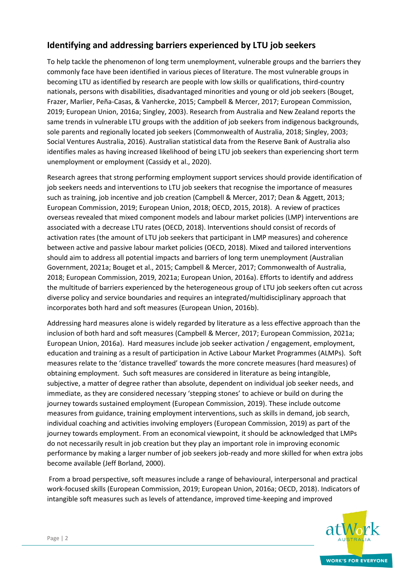# **Identifying and addressing barriers experienced by LTU job seekers**

To help tackle the phenomenon of long term unemployment, vulnerable groups and the barriers they commonly face have been identified in various pieces of literature. The most vulnerable groups in becoming LTU as identified by research are people with low skills or qualifications, third-country nationals, persons with disabilities, disadvantaged minorities and young or old job seekers (Bouget, Frazer, Marlier, Peña-Casas, & Vanhercke, 2015; Campbell & Mercer, 2017; European Commission, 2019; European Union, 2016a; Singley, 2003). Research from Australia and New Zealand reports the same trends in vulnerable LTU groups with the addition of job seekers from indigenous backgrounds, sole parents and regionally located job seekers (Commonwealth of Australia, 2018; Singley, 2003; Social Ventures Australia, 2016). Australian statistical data from the Reserve Bank of Australia also identifies males as having increased likelihood of being LTU job seekers than experiencing short term unemployment or employment (Cassidy et al., 2020).

Research agrees that strong performing employment support services should provide identification of job seekers needs and interventions to LTU job seekers that recognise the importance of measures such as training, job incentive and job creation (Campbell & Mercer, 2017; Dean & Aggett, 2013; European Commission, 2019; European Union, 2018; OECD, 2015, 2018). A review of practices overseas revealed that mixed component models and labour market policies (LMP) interventions are associated with a decrease LTU rates (OECD, 2018). Interventions should consist of records of activation rates (the amount of LTU job seekers that participant in LMP measures) and coherence between active and passive labour market policies (OECD, 2018). Mixed and tailored interventions should aim to address all potential impacts and barriers of long term unemployment (Australian Government, 2021a; Bouget et al., 2015; Campbell & Mercer, 2017; Commonwealth of Australia, 2018; European Commission, 2019, 2021a; European Union, 2016a). Efforts to identify and address the multitude of barriers experienced by the heterogeneous group of LTU job seekers often cut across diverse policy and service boundaries and requires an integrated/multidisciplinary approach that incorporates both hard and soft measures (European Union, 2016b).

Addressing hard measures alone is widely regarded by literature as a less effective approach than the inclusion of both hard and soft measures (Campbell & Mercer, 2017; European Commission, 2021a; European Union, 2016a). Hard measures include job seeker activation / engagement, employment, education and training as a result of participation in Active Labour Market Programmes (ALMPs). Soft measures relate to the 'distance travelled' towards the more concrete measures (hard measures) of obtaining employment. Such soft measures are considered in literature as being intangible, subjective, a matter of degree rather than absolute, dependent on individual job seeker needs, and immediate, as they are considered necessary 'stepping stones' to achieve or build on during the journey towards sustained employment (European Commission, 2019). These include outcome measures from guidance, training employment interventions, such as skills in demand, job search, individual coaching and activities involving employers (European Commission, 2019) as part of the journey towards employment. From an economical viewpoint, it should be acknowledged that LMPs do not necessarily result in job creation but they play an important role in improving economic performance by making a larger number of job seekers job-ready and more skilled for when extra jobs become available (Jeff Borland, 2000).

From a broad perspective, soft measures include a range of behavioural, interpersonal and practical work-focused skills (European Commission, 2019; European Union, 2016a; OECD, 2018). Indicators of intangible soft measures such as levels of attendance, improved time-keeping and improved

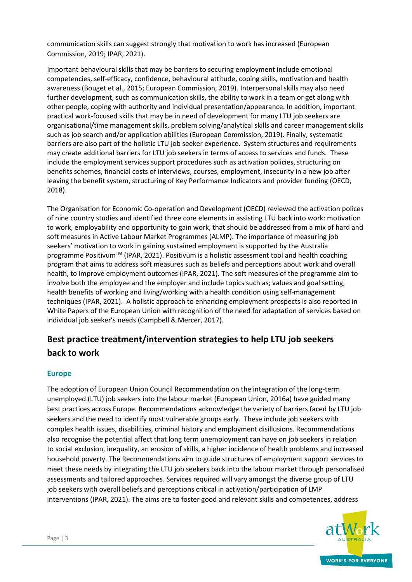communication skills can suggest strongly that motivation to work has increased (European Commission, 2019; IPAR, 2021).

Important behavioural skills that may be barriers to securing employment include emotional competencies, self-efficacy, confidence, behavioural attitude, coping skills, motivation and health awareness (Bouget et al., 2015; European Commission, 2019). Interpersonal skills may also need further development, such as communication skills, the ability to work in a team or get along with other people, coping with authority and individual presentation/appearance. In addition, important practical work-focused skills that may be in need of development for many LTU job seekers are organisational/time management skills, problem solving/analytical skills and career management skills such as job search and/or application abilities (European Commission, 2019). Finally, systematic barriers are also part of the holistic LTU job seeker experience. System structures and requirements may create additional barriers for LTU job seekers in terms of access to services and funds. These include the employment services support procedures such as activation policies, structuring on benefits schemes, financial costs of interviews, courses, employment, insecurity in a new job after leaving the benefit system, structuring of Key Performance Indicators and provider funding (OECD, 2018).

The Organisation for Economic Co-operation and Development (OECD) reviewed the activation polices of nine country studies and identified three core elements in assisting LTU back into work: motivation to work, employability and opportunity to gain work, that should be addressed from a mix of hard and soft measures in Active Labour Market Programmes (ALMP). The importance of measuring job seekers' motivation to work in gaining sustained employment is supported by the Australia programme Positivum<sup>TM</sup> (IPAR, 2021). Positivum is a holistic assessment tool and health coaching program that aims to address soft measures such as beliefs and perceptions about work and overall health, to improve employment outcomes (IPAR, 2021). The soft measures of the programme aim to involve both the employee and the employer and include topics such as; values and goal setting, health benefits of working and living/working with a health condition using self-management techniques (IPAR, 2021). A holistic approach to enhancing employment prospects is also reported in White Papers of the European Union with recognition of the need for adaptation of services based on individual job seeker's needs (Campbell & Mercer, 2017).

# **Best practice treatment/intervention strategies to help LTU job seekers back to work**

#### **Europe**

The adoption of European Union Council Recommendation on the integration of the long-term unemployed (LTU) job seekers into the labour market (European Union, 2016a) have guided many best practices across Europe. Recommendations acknowledge the variety of barriers faced by LTU job seekers and the need to identify most vulnerable groups early. These include job seekers with complex health issues, disabilities, criminal history and employment disillusions. Recommendations also recognise the potential affect that long term unemployment can have on job seekers in relation to social exclusion, inequality, an erosion of skills, a higher incidence of health problems and increased household poverty. The Recommendations aim to guide structures of employment support services to meet these needs by integrating the LTU job seekers back into the labour market through personalised assessments and tailored approaches. Services required will vary amongst the diverse group of LTU job seekers with overall beliefs and perceptions critical in activation/participation of LMP interventions (IPAR, 2021). The aims are to foster good and relevant skills and competences, address

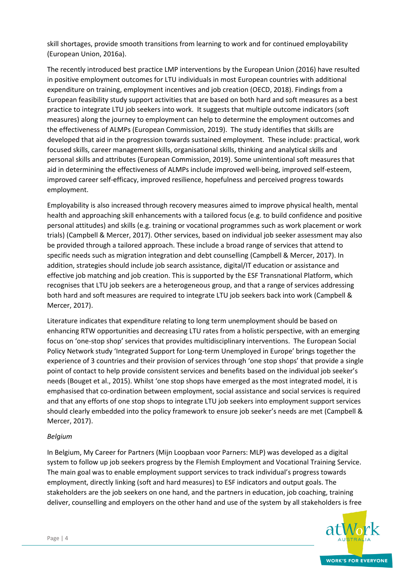skill shortages, provide smooth transitions from learning to work and for continued employability (European Union, 2016a).

The recently introduced best practice LMP interventions by the European Union (2016) have resulted in positive employment outcomes for LTU individuals in most European countries with additional expenditure on training, employment incentives and job creation (OECD, 2018). Findings from a European feasibility study support activities that are based on both hard and soft measures as a best practice to integrate LTU job seekers into work. It suggests that multiple outcome indicators (soft measures) along the journey to employment can help to determine the employment outcomes and the effectiveness of ALMPs (European Commission, 2019). The study identifies that skills are developed that aid in the progression towards sustained employment. These include: practical, work focused skills, career management skills, organisational skills, thinking and analytical skills and personal skills and attributes (European Commission, 2019). Some unintentional soft measures that aid in determining the effectiveness of ALMPs include improved well-being, improved self-esteem, improved career self-efficacy, improved resilience, hopefulness and perceived progress towards employment.

Employability is also increased through recovery measures aimed to improve physical health, mental health and approaching skill enhancements with a tailored focus (e.g. to build confidence and positive personal attitudes) and skills (e.g. training or vocational programmes such as work placement or work trials) (Campbell & Mercer, 2017). Other services, based on individual job seeker assessment may also be provided through a tailored approach. These include a broad range of services that attend to specific needs such as migration integration and debt counselling (Campbell & Mercer, 2017). In addition, strategies should include job search assistance, digital/IT education or assistance and effective job matching and job creation. This is supported by the ESF Transnational Platform, which recognises that LTU job seekers are a heterogeneous group, and that a range of services addressing both hard and soft measures are required to integrate LTU job seekers back into work (Campbell & Mercer, 2017).

Literature indicates that expenditure relating to long term unemployment should be based on enhancing RTW opportunities and decreasing LTU rates from a holistic perspective, with an emerging focus on 'one-stop shop' services that provides multidisciplinary interventions. The European Social Policy Network study 'Integrated Support for Long-term Unemployed in Europe' brings together the experience of 3 countries and their provision of services through 'one stop shops' that provide a single point of contact to help provide consistent services and benefits based on the individual job seeker's needs (Bouget et al., 2015). Whilst 'one stop shops have emerged as the most integrated model, it is emphasised that co-ordination between employment, social assistance and social services is required and that any efforts of one stop shops to integrate LTU job seekers into employment support services should clearly embedded into the policy framework to ensure job seeker's needs are met (Campbell & Mercer, 2017).

#### *Belgium*

In Belgium, My Career for Partners (Mijn Loopbaan voor Parners: MLP) was developed as a digital system to follow up job seekers progress by the Flemish Employment and Vocational Training Service. The main goal was to enable employment support services to track individual's progress towards employment, directly linking (soft and hard measures) to ESF indicators and output goals. The stakeholders are the job seekers on one hand, and the partners in education, job coaching, training deliver, counselling and employers on the other hand and use of the system by all stakeholders is free

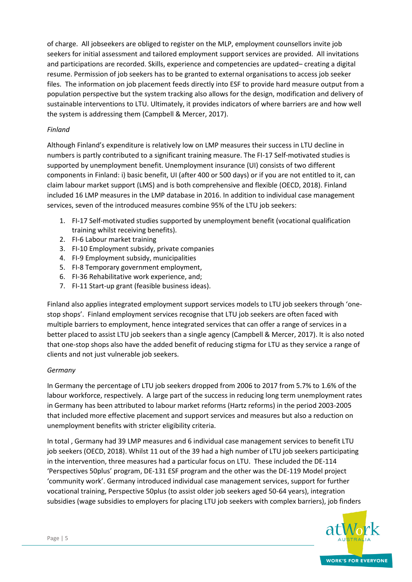of charge. All jobseekers are obliged to register on the MLP, employment counsellors invite job seekers for initial assessment and tailored employment support services are provided. All invitations and participations are recorded. Skills, experience and competencies are updated– creating a digital resume. Permission of job seekers has to be granted to external organisations to access job seeker files. The information on job placement feeds directly into ESF to provide hard measure output from a population perspective but the system tracking also allows for the design, modification and delivery of sustainable interventions to LTU. Ultimately, it provides indicators of where barriers are and how well the system is addressing them (Campbell & Mercer, 2017).

#### *Finland*

Although Finland's expenditure is relatively low on LMP measures their success in LTU decline in numbers is partly contributed to a significant training measure. The FI-17 Self-motivated studies is supported by unemployment benefit. Unemployment insurance (UI) consists of two different components in Finland: i) basic benefit, UI (after 400 or 500 days) or if you are not entitled to it, can claim labour market support (LMS) and is both comprehensive and flexible (OECD, 2018). Finland included 16 LMP measures in the LMP database in 2016. In addition to individual case management services, seven of the introduced measures combine 95% of the LTU job seekers:

- 1. FI-17 Self-motivated studies supported by unemployment benefit (vocational qualification training whilst receiving benefits).
- 2. FI-6 Labour market training
- 3. FI-10 Employment subsidy, private companies
- 4. FI-9 Employment subsidy, municipalities
- 5. FI-8 Temporary government employment,
- 6. FI-36 Rehabilitative work experience, and;
- 7. FI-11 Start-up grant (feasible business ideas).

Finland also applies integrated employment support services models to LTU job seekers through 'onestop shops'. Finland employment services recognise that LTU job seekers are often faced with multiple barriers to employment, hence integrated services that can offer a range of services in a better placed to assist LTU job seekers than a single agency (Campbell & Mercer, 2017). It is also noted that one-stop shops also have the added benefit of reducing stigma for LTU as they service a range of clients and not just vulnerable job seekers.

#### *Germany*

In Germany the percentage of LTU job seekers dropped from 2006 to 2017 from 5.7% to 1.6% of the labour workforce, respectively. A large part of the success in reducing long term unemployment rates in Germany has been attributed to labour market reforms (Hartz reforms) in the period 2003-2005 that included more effective placement and support services and measures but also a reduction on unemployment benefits with stricter eligibility criteria.

In total , Germany had 39 LMP measures and 6 individual case management services to benefit LTU job seekers (OECD, 2018). Whilst 11 out of the 39 had a high number of LTU job seekers participating in the intervention, three measures had a particular focus on LTU. These included the DE-114 'Perspectives 50plus' program, DE-131 ESF program and the other was the DE-119 Model project 'community work'. Germany introduced individual case management services, support for further vocational training, Perspective 50plus (to assist older job seekers aged 50-64 years), integration subsidies (wage subsidies to employers for placing LTU job seekers with complex barriers), job finders

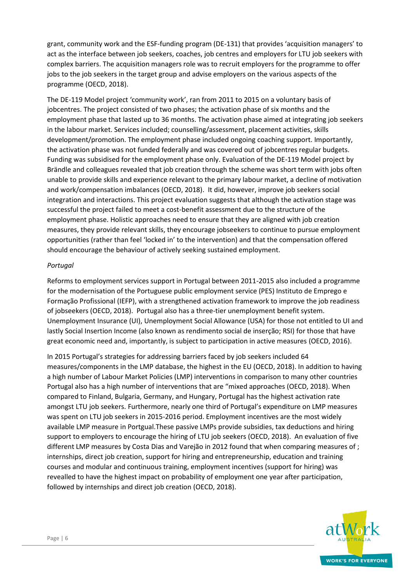grant, community work and the ESF-funding program (DE-131) that provides 'acquisition managers' to act as the interface between job seekers, coaches, job centres and employers for LTU job seekers with complex barriers. The acquisition managers role was to recruit employers for the programme to offer jobs to the job seekers in the target group and advise employers on the various aspects of the programme (OECD, 2018).

The DE-119 Model project 'community work', ran from 2011 to 2015 on a voluntary basis of jobcentres. The project consisted of two phases; the activation phase of six months and the employment phase that lasted up to 36 months. The activation phase aimed at integrating job seekers in the labour market. Services included; counselling/assessment, placement activities, skills development/promotion. The employment phase included ongoing coaching support. Importantly, the activation phase was not funded federally and was covered out of jobcentres regular budgets. Funding was subsidised for the employment phase only. Evaluation of the DE-119 Model project by Brändle and colleagues revealed that job creation through the scheme was short term with jobs often unable to provide skills and experience relevant to the primary labour market, a decline of motivation and work/compensation imbalances (OECD, 2018). It did, however, improve job seekers social integration and interactions. This project evaluation suggests that although the activation stage was successful the project failed to meet a cost-benefit assessment due to the structure of the employment phase. Holistic approaches need to ensure that they are aligned with job creation measures, they provide relevant skills, they encourage jobseekers to continue to pursue employment opportunities (rather than feel 'locked in' to the intervention) and that the compensation offered should encourage the behaviour of actively seeking sustained employment.

#### *Portugal*

Reforms to employment services support in Portugal between 2011-2015 also included a programme for the modernisation of the Portuguese public employment service (PES) Instituto de Emprego e Formação Profissional (IEFP), with a strengthened activation framework to improve the job readiness of jobseekers (OECD, 2018). Portugal also has a three-tier unemployment benefit system. Unemployment Insurance (UI), Unemployment Social Allowance (USA) for those not entitled to UI and lastly Social Insertion Income (also known as rendimento social de inserção; RSI) for those that have great economic need and, importantly, is subject to participation in active measures (OECD, 2016).

In 2015 Portugal's strategies for addressing barriers faced by job seekers included 64 measures/components in the LMP database, the highest in the EU (OECD, 2018). In addition to having a high number of Labour Market Policies (LMP) interventions in comparison to many other countries Portugal also has a high number of interventions that are "mixed approaches (OECD, 2018). When compared to Finland, Bulgaria, Germany, and Hungary, Portugal has the highest activation rate amongst LTU job seekers. Furthermore, nearly one third of Portugal's expenditure on LMP measures was spent on LTU job seekers in 2015-2016 period. Employment incentives are the most widely available LMP measure in Portgual.These passive LMPs provide subsidies, tax deductions and hiring support to employers to encourage the hiring of LTU job seekers (OECD, 2018). An evaluation of five different LMP measures by Costa Dias and Varejão in 2012 found that when comparing measures of ; internships, direct job creation, support for hiring and entrepreneurship, education and training courses and modular and continuous training, employment incentives (support for hiring) was revealled to have the highest impact on probability of employment one year after participation, followed by internships and direct job creation (OECD, 2018).

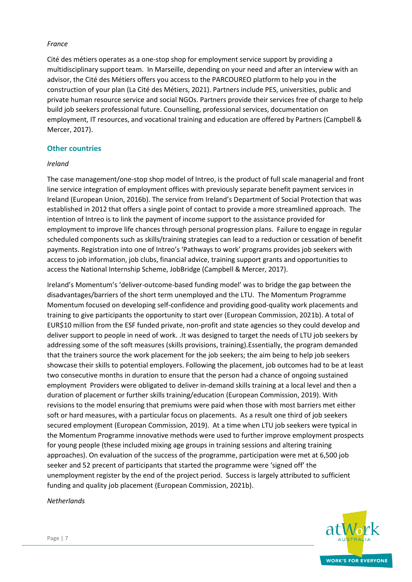#### *France*

Cité des métiers operates as a one-stop shop for employment service support by providing a multidisciplinary support team. In Marseille, depending on your need and after an interview with an advisor, the Cité des Métiers offers you access to the PARCOUREO platform to help you in the construction of your plan (La Cité des Métiers, 2021). Partners include PES, universities, public and private human resource service and social NGOs. Partners provide their services free of charge to help build job seekers professional future. Counselling, professional services, documentation on employment, IT resources, and vocational training and education are offered by Partners (Campbell & Mercer, 2017).

#### **Other countries**

#### *Ireland*

The case management/one-stop shop model of Intreo, is the product of full scale managerial and front line service integration of employment offices with previously separate benefit payment services in Ireland (European Union, 2016b). The service from Ireland's Department of Social Protection that was established in 2012 that offers a single point of contact to provide a more streamlined approach. The intention of Intreo is to link the payment of income support to the assistance provided for employment to improve life chances through personal progression plans. Failure to engage in regular scheduled components such as skills/training strategies can lead to a reduction or cessation of benefit payments. Registration into one of Intreo's 'Pathways to work' programs provides job seekers with access to job information, job clubs, financial advice, training support grants and opportunities to access the National Internship Scheme, JobBridge (Campbell & Mercer, 2017).

Ireland's Momentum's 'deliver-outcome-based funding model' was to bridge the gap between the disadvantages/barriers of the short term unemployed and the LTU. The Momentum Programme Momentum focused on developing self-confidence and providing good-quality work placements and training to give participants the opportunity to start over (European Commission, 2021b). A total of EUR\$10 million from the ESF funded private, non-profit and state agencies so they could develop and deliver support to people in need of work. .It was designed to target the needs of LTU job seekers by addressing some of the soft measures (skills provisions, training).Essentially, the program demanded that the trainers source the work placement for the job seekers; the aim being to help job seekers showcase their skills to potential employers. Following the placement, job outcomes had to be at least two consecutive months in duration to ensure that the person had a chance of ongoing sustained employment Providers were obligated to deliver in-demand skills training at a local level and then a duration of placement or further skills training/education (European Commission, 2019). With revisions to the model ensuring that premiums were paid when those with most barriers met either soft or hard measures, with a particular focus on placements. As a result one third of job seekers secured employment (European Commission, 2019). At a time when LTU job seekers were typical in the Momentum Programme innovative methods were used to further improve employment prospects for young people (these included mixing age groups in training sessions and altering training approaches). On evaluation of the success of the programme, participation were met at 6,500 job seeker and 52 precent of participants that started the programme were 'signed off' the unemployment register by the end of the project period. Success is largely attributed to sufficient funding and quality job placement (European Commission, 2021b).

*Netherlands*

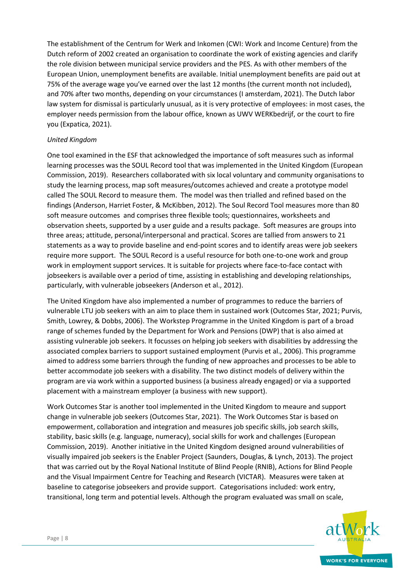The establishment of the Centrum for Werk and Inkomen (CWI: Work and Income Centure) from the Dutch reform of 2002 created an organisation to coordinate the work of existing agencies and clarify the role division between municipal service providers and the PES. As with other members of the European Union, unemployment benefits are available. Initial unemployment benefits are paid out at 75% of the average wage you've earned over the last 12 months (the current month not included), and 70% after two months, depending on your circumstances (I amsterdam, 2021). The Dutch labor law system for dismissal is particularly unusual, as it is very protective of employees: in most cases, the employer needs permission from the labour office, known as UWV WERKbedrijf, or the court to fire you (Expatica, 2021).

#### *United Kingdom*

One tool examined in the ESF that acknowledged the importance of soft measures such as informal learning processes was the SOUL Record tool that was implemented in the United Kingdom (European Commission, 2019). Researchers collaborated with six local voluntary and community organisations to study the learning process, map soft measures/outcomes achieved and create a prototype model called The SOUL Record to measure them. The model was then trialled and refined based on the findings (Anderson, Harriet Foster, & McKibben, 2012). The Soul Record Tool measures more than 80 soft measure outcomes and comprises three flexible tools; questionnaires, worksheets and observation sheets, supported by a user guide and a results package. Soft measures are groups into three areas; attitude, personal/interpersonal and practical. Scores are tallied from answers to 21 statements as a way to provide baseline and end-point scores and to identify areas were job seekers require more support. The SOUL Record is a useful resource for both one-to-one work and group work in employment support services. It is suitable for projects where face-to-face contact with jobseekers is available over a period of time, assisting in establishing and developing relationships, particularly, with vulnerable jobseekers (Anderson et al., 2012).

The United Kingdom have also implemented a number of programmes to reduce the barriers of vulnerable LTU job seekers with an aim to place them in sustained work (Outcomes Star, 2021; Purvis, Smith, Lowrey, & Dobbs, 2006). The Workstep Programme in the United Kingdom is part of a broad range of schemes funded by the Department for Work and Pensions (DWP) that is also aimed at assisting vulnerable job seekers. It focusses on helping job seekers with disabilities by addressing the associated complex barriers to support sustained employment (Purvis et al., 2006). This programme aimed to address some barriers through the funding of new approaches and processes to be able to better accommodate job seekers with a disability. The two distinct models of delivery within the program are via work within a supported business (a business already engaged) or via a supported placement with a mainstream employer (a business with new support).

Work Outcomes Star is another tool implemented in the United Kingdom to meaure and support change in vulnerable job seekers (Outcomes Star, 2021). The Work Outcomes Star is based on empowerment, collaboration and integration and measures job specific skills, job search skills, stability, basic skills (e.g. language, numeracy), social skills for work and challenges (European Commission, 2019). Another initiative in the United Kingdom designed around vulnerabilities of visually impaired job seekers is the Enabler Project (Saunders, Douglas, & Lynch, 2013). The project that was carried out by the Royal National Institute of Blind People (RNIB), Actions for Blind People and the Visual Impairment Centre for Teaching and Research (VICTAR). Measures were taken at baseline to categorise jobseekers and provide support. Categorisations included: work entry, transitional, long term and potential levels. Although the program evaluated was small on scale,

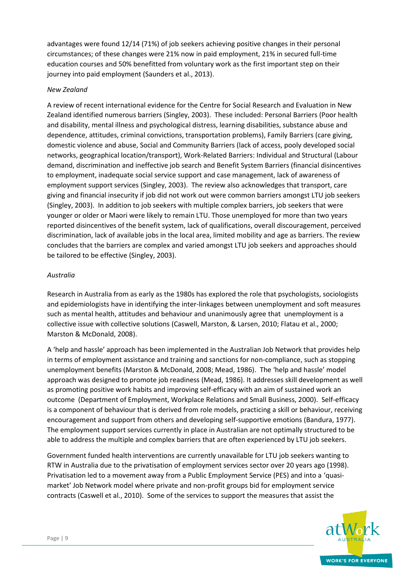advantages were found 12/14 (71%) of job seekers achieving positive changes in their personal circumstances; of these changes were 21% now in paid employment, 21% in secured full-time education courses and 50% benefitted from voluntary work as the first important step on their journey into paid employment (Saunders et al., 2013).

#### *New Zealand*

A review of recent international evidence for the Centre for Social Research and Evaluation in New Zealand identified numerous barriers (Singley, 2003). These included: Personal Barriers (Poor health and disability, mental illness and psychological distress, learning disabilities, substance abuse and dependence, attitudes, criminal convictions, transportation problems), Family Barriers (care giving, domestic violence and abuse, Social and Community Barriers (lack of access, pooly developed social networks, geographical location/transport), Work-Related Barriers: Individual and Structural (Labour demand, discrimination and ineffective job search and Benefit System Barriers (financial disincentives to employment, inadequate social service support and case management, lack of awareness of employment support services (Singley, 2003). The review also acknowledges that transport, care giving and financial insecurity if job did not work out were common barriers amongst LTU job seekers (Singley, 2003). In addition to job seekers with multiple complex barriers, job seekers that were younger or older or Maori were likely to remain LTU. Those unemployed for more than two years reported disincentives of the benefit system, lack of qualifications, overall discouragement, perceived discrimination, lack of available jobs in the local area, limited mobility and age as barriers. The review concludes that the barriers are complex and varied amongst LTU job seekers and approaches should be tailored to be effective (Singley, 2003).

#### *Australia*

Research in Australia from as early as the 1980s has explored the role that psychologists, sociologists and epidemiologists have in identifying the inter-linkages between unemployment and soft measures such as mental health, attitudes and behaviour and unanimously agree that unemployment is a collective issue with collective solutions (Caswell, Marston, & Larsen, 2010; Flatau et al., 2000; Marston & McDonald, 2008).

A 'help and hassle' approach has been implemented in the Australian Job Network that provides help in terms of employment assistance and training and sanctions for non-compliance, such as stopping unemployment benefits (Marston & McDonald, 2008; Mead, 1986). The 'help and hassle' model approach was designed to promote job readiness (Mead, 1986). It addresses skill development as well as promoting positive work habits and improving self-efficacy with an aim of sustained work an outcome (Department of Employment, Workplace Relations and Small Business, 2000). Self-efficacy is a component of behaviour that is derived from role models, practicing a skill or behaviour, receiving encouragement and support from others and developing self-supportive emotions (Bandura, 1977). The employment support services currently in place in Australian are not optimally structured to be able to address the multiple and complex barriers that are often experienced by LTU job seekers.

Government funded health interventions are currently unavailable for LTU job seekers wanting to RTW in Australia due to the privatisation of employment services sector over 20 years ago (1998). Privatisation led to a movement away from a Public Employment Service (PES) and into a 'quasimarket' Job Network model where private and non-profit groups bid for employment service contracts (Caswell et al., 2010). Some of the services to support the measures that assist the

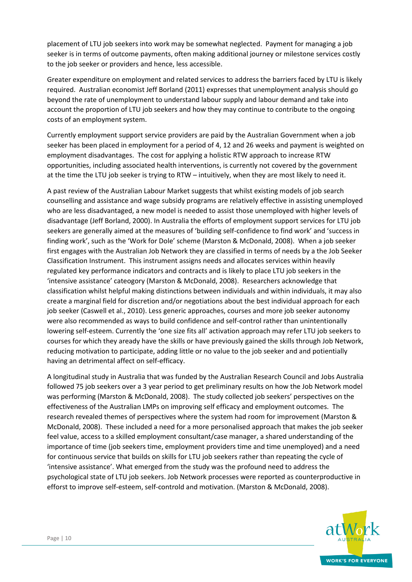placement of LTU job seekers into work may be somewhat neglected. Payment for managing a job seeker is in terms of outcome payments, often making additional journey or milestone services costly to the job seeker or providers and hence, less accessible.

Greater expenditure on employment and related services to address the barriers faced by LTU is likely required. Australian economist Jeff Borland (2011) expresses that unemployment analysis should go beyond the rate of unemployment to understand labour supply and labour demand and take into account the proportion of LTU job seekers and how they may continue to contribute to the ongoing costs of an employment system.

Currently employment support service providers are paid by the Australian Government when a job seeker has been placed in employment for a period of 4, 12 and 26 weeks and payment is weighted on employment disadvantages. The cost for applying a holistic RTW approach to increase RTW opportunities, including associated health interventions, is currently not covered by the government at the time the LTU job seeker is trying to RTW – intuitively, when they are most likely to need it.

A past review of the Australian Labour Market suggests that whilst existing models of job search counselling and assistance and wage subsidy programs are relatively effective in assisting unemployed who are less disadvantaged, a new model is needed to assist those unemployed with higher levels of disadvantage (Jeff Borland, 2000). In Australia the efforts of employment support services for LTU job seekers are generally aimed at the measures of 'building self-confidence to find work' and 'success in finding work', such as the 'Work for Dole' scheme (Marston & McDonald, 2008). When a job seeker first engages with the Australian Job Network they are classified in terms of needs by a the Job Seeker Classification Instrument. This instrument assigns needs and allocates services within heavily regulated key performance indicators and contracts and is likely to place LTU job seekers in the 'intensive assistance' cateogory (Marston & McDonald, 2008). Researchers acknowledge that classification whilst helpful making distinctions between individuals and within individuals, it may also create a marginal field for discretion and/or negotiations about the best individual approach for each job seeker (Caswell et al., 2010). Less generic approaches, courses and more job seeker autonomy were also recommended as ways to build confidence and self-control rather than unintentionally lowering self-esteem. Currently the 'one size fits all' activation approach may refer LTU job seekers to courses for which they aready have the skills or have previously gained the skills through Job Network, reducing motivation to participate, adding little or no value to the job seeker and and potientially having an detrimental affect on self-efficacy.

A longitudinal study in Australia that was funded by the Australian Research Council and Jobs Australia followed 75 job seekers over a 3 year period to get preliminary results on how the Job Network model was performing (Marston & McDonald, 2008). The study collected job seekers' perspectives on the effectiveness of the Australian LMPs on improving self efficacy and employment outcomes. The research revealed themes of perspectives where the system had room for improvement (Marston & McDonald, 2008). These included a need for a more personalised approach that makes the job seeker feel value, access to a skilled employment consultant/case manager, a shared understanding of the importance of time (job seekers time, employment providers time and time unemployed) and a need for continuous service that builds on skills for LTU job seekers rather than repeating the cycle of 'intensive assistance'. What emerged from the study was the profound need to address the psychological state of LTU job seekers. Job Network processes were reported as counterproductive in efforst to improve self-esteem, self-controld and motivation. (Marston & McDonald, 2008).

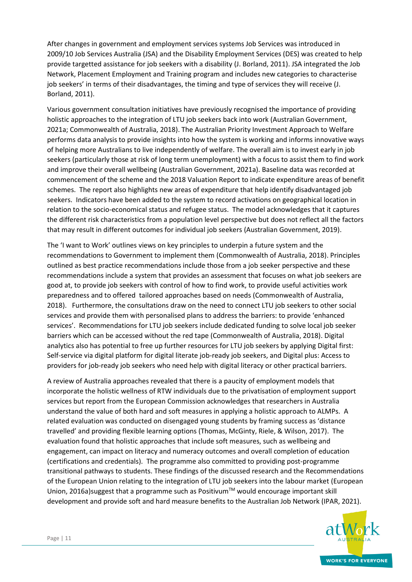After changes in government and employment services systems Job Services was introduced in 2009/10 Job Services Australia (JSA) and the Disability Employment Services (DES) was created to help provide targetted assistance for job seekers with a disability (J. Borland, 2011). JSA integrated the Job Network, Placement Employment and Training program and includes new categories to characterise job seekers' in terms of their disadvantages, the timing and type of services they will receive (J. Borland, 2011).

Various government consultation initiatives have previously recognised the importance of providing holistic approaches to the integration of LTU job seekers back into work (Australian Government, 2021a; Commonwealth of Australia, 2018). The Australian Priority Investment Approach to Welfare performs data analysis to provide insights into how the system is working and informs innovative ways of helping more Australians to live independently of welfare. The overall aim is to invest early in job seekers (particularly those at risk of long term unemployment) with a focus to assist them to find work and improve their overall wellbeing (Australian Government, 2021a). Baseline data was recorded at commencement of the scheme and the 2018 Valuation Report to indicate expenditure areas of benefit schemes. The report also highlights new areas of expenditure that help identify disadvantaged job seekers. Indicators have been added to the system to record activations on geographical location in relation to the socio-economical status and refugee status. The model acknowledges that it captures the different risk characteristics from a population level perspective but does not reflect all the factors that may result in different outcomes for individual job seekers (Australian Government, 2019).

The 'I want to Work' outlines views on key principles to underpin a future system and the recommendations to Government to implement them (Commonwealth of Australia, 2018). Principles outlined as best practice recommendations include those from a job seeker perspective and these recommendations include a system that provides an assessment that focuses on what job seekers are good at, to provide job seekers with control of how to find work, to provide useful activities work preparedness and to offered tailored approaches based on needs (Commonwealth of Australia, 2018). Furthermore, the consultations draw on the need to connect LTU job seekers to other social services and provide them with personalised plans to address the barriers: to provide 'enhanced services'. Recommendations for LTU job seekers include dedicated funding to solve local job seeker barriers which can be accessed without the red tape (Commonwealth of Australia, 2018). Digital analytics also has potential to free up further resources for LTU job seekers by applying Digital first: Self-service via digital platform for digital literate job-ready job seekers, and Digital plus: Access to providers for job-ready job seekers who need help with digital literacy or other practical barriers.

A review of Australia approaches revealed that there is a paucity of employment models that incorporate the holistic wellness of RTW individuals due to the privatisation of employment support services but report from the European Commission acknowledges that researchers in Australia understand the value of both hard and soft measures in applying a holistic approach to ALMPs. A related evaluation was conducted on disengaged young students by framing success as 'distance travelled' and providing flexible learning options (Thomas, McGinty, Riele, & Wilson, 2017). The evaluation found that holistic approaches that include soft measures, such as wellbeing and engagement, can impact on literacy and numeracy outcomes and overall completion of education (certifications and credentials). The programme also committed to providing post-programme transitional pathways to students. These findings of the discussed research and the Recommendations of the European Union relating to the integration of LTU job seekers into the labour market (European Union, 2016a) suggest that a programme such as Positivum<sup>TM</sup> would encourage important skill development and provide soft and hard measure benefits to the Australian Job Network (IPAR, 2021).

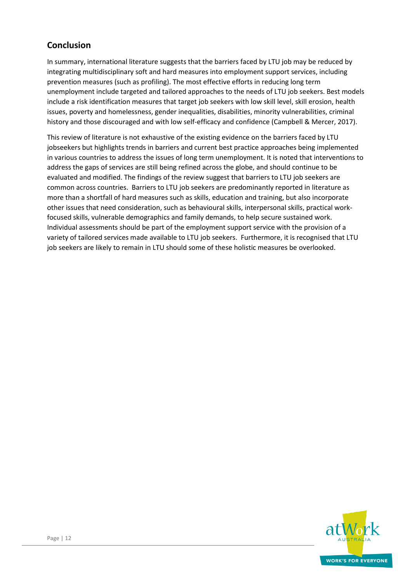## **Conclusion**

In summary, international literature suggests that the barriers faced by LTU job may be reduced by integrating multidisciplinary soft and hard measures into employment support services, including prevention measures (such as profiling). The most effective efforts in reducing long term unemployment include targeted and tailored approaches to the needs of LTU job seekers. Best models include a risk identification measures that target job seekers with low skill level, skill erosion, health issues, poverty and homelessness, gender inequalities, disabilities, minority vulnerabilities, criminal history and those discouraged and with low self-efficacy and confidence (Campbell & Mercer, 2017).

This review of literature is not exhaustive of the existing evidence on the barriers faced by LTU jobseekers but highlights trends in barriers and current best practice approaches being implemented in various countries to address the issues of long term unemployment. It is noted that interventions to address the gaps of services are still being refined across the globe, and should continue to be evaluated and modified. The findings of the review suggest that barriers to LTU job seekers are common across countries. Barriers to LTU job seekers are predominantly reported in literature as more than a shortfall of hard measures such as skills, education and training, but also incorporate other issues that need consideration, such as behavioural skills, interpersonal skills, practical workfocused skills, vulnerable demographics and family demands, to help secure sustained work. Individual assessments should be part of the employment support service with the provision of a variety of tailored services made available to LTU job seekers. Furthermore, it is recognised that LTU job seekers are likely to remain in LTU should some of these holistic measures be overlooked.

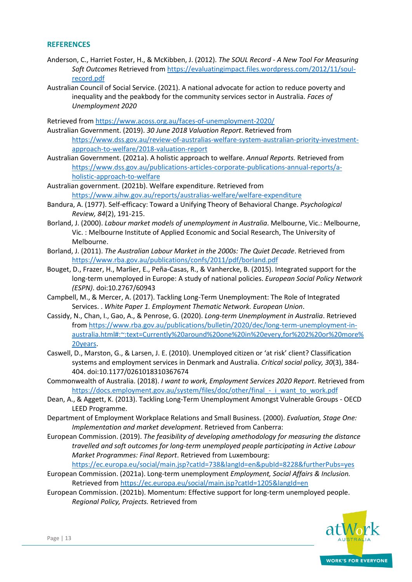#### **REFERENCES**

- Anderson, C., Harriet Foster, H., & McKibben, J. (2012). *The SOUL Record - A New Tool For Measuring Soft Outcomes* Retrieved fro[m https://evaluatingimpact.files.wordpress.com/2012/11/soul](https://evaluatingimpact.files.wordpress.com/2012/11/soul-record.pdf)[record.pdf](https://evaluatingimpact.files.wordpress.com/2012/11/soul-record.pdf)
- Australian Council of Social Service. (2021). A national advocate for action to reduce poverty and inequality and the peakbody for the community services sector in Australia. *Faces of Unemployment 2020*

Retrieved from<https://www.acoss.org.au/faces-of-unemployment-2020/>

Australian Government. (2019). *30 June 2018 Valuation Report*. Retrieved from [https://www.dss.gov.au/review-of-australias-welfare-system-australian-priority-investment](https://www.dss.gov.au/review-of-australias-welfare-system-australian-priority-investment-approach-to-welfare/2018-valuation-report)[approach-to-welfare/2018-valuation-report](https://www.dss.gov.au/review-of-australias-welfare-system-australian-priority-investment-approach-to-welfare/2018-valuation-report)

Australian Government. (2021a). A holistic approach to welfare. *Annual Reports.* Retrieved from [https://www.dss.gov.au/publications-articles-corporate-publications-annual-reports/a](https://www.dss.gov.au/publications-articles-corporate-publications-annual-reports/a-holistic-approach-to-welfare)[holistic-approach-to-welfare](https://www.dss.gov.au/publications-articles-corporate-publications-annual-reports/a-holistic-approach-to-welfare)

Australian government. (2021b). Welfare expenditure. Retrieved from <https://www.aihw.gov.au/reports/australias-welfare/welfare-expenditure>

- Bandura, A. (1977). Self-efficacy: Toward a Unifying Theory of Behavioral Change. *Psychological Review, 84*(2), 191-215.
- Borland, J. (2000). *Labour market models of unemployment in Australia*. Melbourne, Vic.: Melbourne, Vic. : Melbourne Institute of Applied Economic and Social Research, The University of Melbourne.
- Borland, J. (2011). *The Australian Labour Market in the 2000s: The Quiet Decade*. Retrieved from <https://www.rba.gov.au/publications/confs/2011/pdf/borland.pdf>
- Bouget, D., Frazer, H., Marlier, E., Peña-Casas, R., & Vanhercke, B. (2015). Integrated support for the long-term unemployed in Europe: A study of national policies. *European Social Policy Network (ESPN)*. doi:10.2767/60943
- Campbell, M., & Mercer, A. (2017). Tackling Long-Term Unemployment: The Role of Integrated Services. . *White Paper 1. Employment Thematic Network. European Union*.
- Cassidy, N., Chan, I., Gao, A., & Penrose, G. (2020). *Long-term Unemployment in Australia*. Retrieved from [https://www.rba.gov.au/publications/bulletin/2020/dec/long-term-unemployment-in](https://www.rba.gov.au/publications/bulletin/2020/dec/long-term-unemployment-in-australia.html#:~:text=Currently%20around%20one%20in%20every,for%202%20or%20more%20years)[australia.html#:~:text=Currently%20around%20one%20in%20every,for%202%20or%20more%](https://www.rba.gov.au/publications/bulletin/2020/dec/long-term-unemployment-in-australia.html#:~:text=Currently%20around%20one%20in%20every,for%202%20or%20more%20years) [20years.](https://www.rba.gov.au/publications/bulletin/2020/dec/long-term-unemployment-in-australia.html#:~:text=Currently%20around%20one%20in%20every,for%202%20or%20more%20years)
- Caswell, D., Marston, G., & Larsen, J. E. (2010). Unemployed citizen or 'at risk' client? Classification systems and employment services in Denmark and Australia. *Critical social policy, 30*(3), 384- 404. doi:10.1177/0261018310367674
- Commonwealth of Australia. (2018). *I want to work, Employment Services 2020 Report*. Retrieved from https://docs.employment.gov.au/system/files/doc/other/final - i\_want\_to\_work.pdf
- Dean, A., & Aggett, K. (2013). Tackling Long-Term Unemployment Amongst Vulnerable Groups OECD LEED Programme.
- Department of Employment Workplace Relations and Small Business. (2000). *Evaluation, Stage One: Implementation and market development*. Retrieved from Canberra:
- European Commission. (2019). *The feasibility of developing amethodology for measuring the distance travelled and soft outcomes for long-term unemployed people participating in Active Labour Market Programmes: Final Report*. Retrieved from Luxembourg:

<https://ec.europa.eu/social/main.jsp?catId=738&langId=en&pubId=8228&furtherPubs=yes>

- European Commission. (2021a). Long-term unemployment *Employment, Social Affairs & Inclusion.* Retrieved from<https://ec.europa.eu/social/main.jsp?catId=1205&langId=en>
- European Commission. (2021b). Momentum: Effective support for long-term unemployed people. *Regional Policy, Projects.* Retrieved from

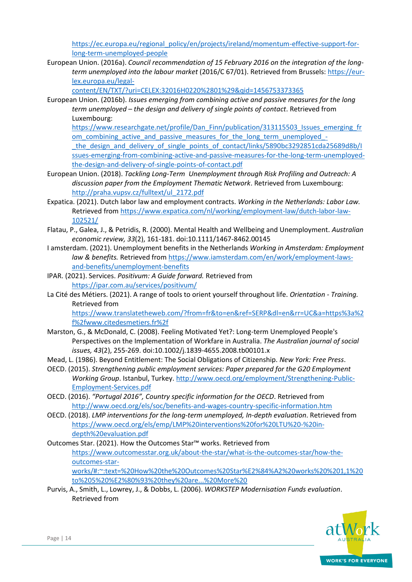[https://ec.europa.eu/regional\\_policy/en/projects/ireland/momentum-effective-support-for](https://ec.europa.eu/regional_policy/en/projects/ireland/momentum-effective-support-for-long-term-unemployed-people)[long-term-unemployed-people](https://ec.europa.eu/regional_policy/en/projects/ireland/momentum-effective-support-for-long-term-unemployed-people)

European Union. (2016a). *Council recommendation of 15 February 2016 on the integration of the longterm unemployed into the labour market* (2016/C 67/01). Retrieved from Brussels[: https://eur](https://eur-lex.europa.eu/legal-content/EN/TXT/?uri=CELEX:32016H0220%2801%29&qid=1456753373365)[lex.europa.eu/legal-](https://eur-lex.europa.eu/legal-content/EN/TXT/?uri=CELEX:32016H0220%2801%29&qid=1456753373365)

[content/EN/TXT/?uri=CELEX:32016H0220%2801%29&qid=1456753373365](https://eur-lex.europa.eu/legal-content/EN/TXT/?uri=CELEX:32016H0220%2801%29&qid=1456753373365)

European Union. (2016b). *Issues emerging from combining active and passive measures for the long term unemployed – the design and delivery of single points of contact*. Retrieved from Luxembourg:

[https://www.researchgate.net/profile/Dan\\_Finn/publication/313115503\\_Issues\\_emerging\\_fr](https://www.researchgate.net/profile/Dan_Finn/publication/313115503_Issues_emerging_from_combining_active_and_passive_measures_for_the_long_term_unemployed_-_the_design_and_delivery_of_single_points_of_contact/links/5890bc3292851cda25689d8b/Issues-emerging-from-combining-active-and-passive-measures-for-the-long-term-unemployed-the-design-and-delivery-of-single-points-of-contact.pdf) om\_combining\_active\_and\_passive\_measures\_for\_the\_long\_term\_unemployed -[\\_the\\_design\\_and\\_delivery\\_of\\_single\\_points\\_of\\_contact/links/5890bc3292851cda25689d8b/I](https://www.researchgate.net/profile/Dan_Finn/publication/313115503_Issues_emerging_from_combining_active_and_passive_measures_for_the_long_term_unemployed_-_the_design_and_delivery_of_single_points_of_contact/links/5890bc3292851cda25689d8b/Issues-emerging-from-combining-active-and-passive-measures-for-the-long-term-unemployed-the-design-and-delivery-of-single-points-of-contact.pdf) [ssues-emerging-from-combining-active-and-passive-measures-for-the-long-term-unemployed](https://www.researchgate.net/profile/Dan_Finn/publication/313115503_Issues_emerging_from_combining_active_and_passive_measures_for_the_long_term_unemployed_-_the_design_and_delivery_of_single_points_of_contact/links/5890bc3292851cda25689d8b/Issues-emerging-from-combining-active-and-passive-measures-for-the-long-term-unemployed-the-design-and-delivery-of-single-points-of-contact.pdf)[the-design-and-delivery-of-single-points-of-contact.pdf](https://www.researchgate.net/profile/Dan_Finn/publication/313115503_Issues_emerging_from_combining_active_and_passive_measures_for_the_long_term_unemployed_-_the_design_and_delivery_of_single_points_of_contact/links/5890bc3292851cda25689d8b/Issues-emerging-from-combining-active-and-passive-measures-for-the-long-term-unemployed-the-design-and-delivery-of-single-points-of-contact.pdf)

- European Union. (2018). *Tackling Long-Term Unemployment through Risk Profiling and Outreach: A discussion paper from the Employment Thematic Network*. Retrieved from Luxembourg: [http://praha.vupsv.cz/fulltext/ul\\_2172.pdf](http://praha.vupsv.cz/fulltext/ul_2172.pdf)
- Expatica. (2021). Dutch labor law and employment contracts. *Working in the Netherlands: Labor Law.* Retrieved from [https://www.expatica.com/nl/working/employment-law/dutch-labor-law-](https://www.expatica.com/nl/working/employment-law/dutch-labor-law-102521/)[102521/](https://www.expatica.com/nl/working/employment-law/dutch-labor-law-102521/)
- Flatau, P., Galea, J., & Petridis, R. (2000). Mental Health and Wellbeing and Unemployment. *Australian economic review, 33*(2), 161-181. doi:10.1111/1467-8462.00145
- I amsterdam. (2021). Unemployment benefits in the Netherlands *Working in Amsterdam: Employment law & benefits.* Retrieved fro[m https://www.iamsterdam.com/en/work/employment-laws](https://www.iamsterdam.com/en/work/employment-laws-and-benefits/unemployment-benefits)[and-benefits/unemployment-benefits](https://www.iamsterdam.com/en/work/employment-laws-and-benefits/unemployment-benefits)
- IPAR. (2021). Services. *Positivum: A Guide forward.* Retrieved from <https://ipar.com.au/services/positivum/>
- La Cité des Métiers. (2021). A range of tools to orient yourself throughout life. *Orientation - Training.* Retrieved from

[https://www.translatetheweb.com/?from=fr&to=en&ref=SERP&dl=en&rr=UC&a=https%3a%2](https://www.translatetheweb.com/?from=fr&to=en&ref=SERP&dl=en&rr=UC&a=https%3a%2f%2fwww.citedesmetiers.fr%2f) [f%2fwww.citedesmetiers.fr%2f](https://www.translatetheweb.com/?from=fr&to=en&ref=SERP&dl=en&rr=UC&a=https%3a%2f%2fwww.citedesmetiers.fr%2f)

- Marston, G., & McDonald, C. (2008). Feeling Motivated Yet?: Long-term Unemployed People's Perspectives on the Implementation of Workfare in Australia. *The Australian journal of social issues, 43*(2), 255-269. doi:10.1002/j.1839-4655.2008.tb00101.x
- Mead, L. (1986). Beyond Entitlement: The Social Obligations of Citizenship. *New York: Free Press*.
- OECD. (2015). *Strengthening public employment services: Paper prepared for the G20 Employment Working Group*. Istanbul, Turkey[. http://www.oecd.org/employment/Strengthening-Public-](http://www.oecd.org/employment/Strengthening-Public-Employment-Services.pdf)[Employment-Services.pdf](http://www.oecd.org/employment/Strengthening-Public-Employment-Services.pdf)
- OECD. (2016). *"Portugal 2016", Country specific information for the OECD*. Retrieved from <http://www.oecd.org/els/soc/benefits-and-wages-country-specific-information.htm>
- OECD. (2018). *LMP interventions for the long-term unemployed, In-depth evaluation*. Retrieved from [https://www.oecd.org/els/emp/LMP%20interventions%20for%20LTU%20-%20in](https://www.oecd.org/els/emp/LMP%20interventions%20for%20LTU%20-%20in-depth%20evaluation.pdf)[depth%20evaluation.pdf](https://www.oecd.org/els/emp/LMP%20interventions%20for%20LTU%20-%20in-depth%20evaluation.pdf)

Outcomes Star. (2021). How the Outcomes Star™ works. Retrieved from [https://www.outcomesstar.org.uk/about-the-star/what-is-the-outcomes-star/how-the](https://www.outcomesstar.org.uk/about-the-star/what-is-the-outcomes-star/how-the-outcomes-star-works/#:~:text=%20How%20the%20Outcomes%20Star%E2%84%A2%20works%20%201,1%20to%205%20%E2%80%93%20they%20are...%20More%20)[outcomes-star](https://www.outcomesstar.org.uk/about-the-star/what-is-the-outcomes-star/how-the-outcomes-star-works/#:~:text=%20How%20the%20Outcomes%20Star%E2%84%A2%20works%20%201,1%20to%205%20%E2%80%93%20they%20are...%20More%20)[works/#:~:text=%20How%20the%20Outcomes%20Star%E2%84%A2%20works%20%201,1%20](https://www.outcomesstar.org.uk/about-the-star/what-is-the-outcomes-star/how-the-outcomes-star-works/#:~:text=%20How%20the%20Outcomes%20Star%E2%84%A2%20works%20%201,1%20to%205%20%E2%80%93%20they%20are...%20More%20) [to%205%20%E2%80%93%20they%20are...%20More%20](https://www.outcomesstar.org.uk/about-the-star/what-is-the-outcomes-star/how-the-outcomes-star-works/#:~:text=%20How%20the%20Outcomes%20Star%E2%84%A2%20works%20%201,1%20to%205%20%E2%80%93%20they%20are...%20More%20)

Purvis, A., Smith, L., Lowrey, J., & Dobbs, L. (2006). *WORKSTEP Modernisation Funds evaluation*. Retrieved from